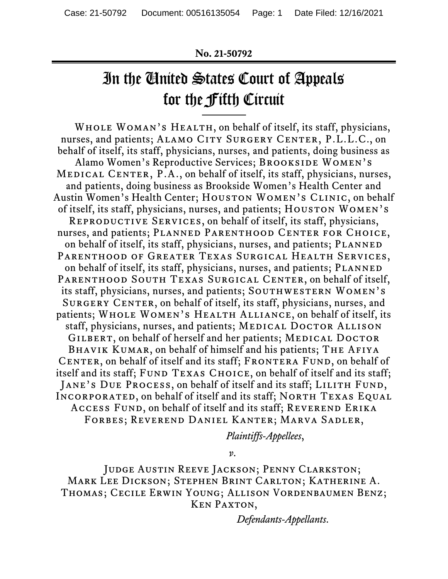#### **No. 21-50792**

# In the United States Court of Appeals for the Fifth Circuit

WHOLE WOMAN'S HEALTH, on behalf of itself, its staff, physicians, nurses, and patients; ALAMO CITY SURGERY CENTER, P.L.L.C., on behalf of itself, its staff, physicians, nurses, and patients, doing business as Alamo Women's Reproductive Services; BROOKSIDE WOMEN's MEDICAL CENTER, P.A., on behalf of itself, its staff, physicians, nurses, and patients, doing business as Brookside Women's Health Center and Austin Women's Health Center; HOUSTON WOMEN's CLINIC, on behalf of itself, its staff, physicians, nurses, and patients; HOUSTON WOMEN's REPRODUCTIVE SERVICES, on behalf of itself, its staff, physicians, nurses, and patients; PLANNED PARENTHOOD CENTER FOR CHOICE, on behalf of itself, its staff, physicians, nurses, and patients; PLANNED Parenthood of Greater Texas Surgical Health Services, on behalf of itself, its staff, physicians, nurses, and patients; PLANNED PARENTHOOD SOUTH TEXAS SURGICAL CENTER, on behalf of itself, its staff, physicians, nurses, and patients; SOUTHWESTERN WOMEN's SURGERY CENTER, on behalf of itself, its staff, physicians, nurses, and patients; WHOLE WOMEN'S HEALTH ALLIANCE, on behalf of itself, its staff, physicians, nurses, and patients; MEDICAL DOCTOR ALLISON GILBERT, on behalf of herself and her patients; MEDICAL DOCTOR BHAVIK KUMAR, on behalf of himself and his patients; THE AFIYA CENTER, on behalf of itself and its staff; FRONTERA FUND, on behalf of itself and its staff; FUND TEXAS CHOICE, on behalf of itself and its staff; JANE'S DUE PROCESS, on behalf of itself and its staff; LILITH FUND, INCORPORATED, on behalf of itself and its staff; NORTH TEXAS EQUAL ACCESS FUND, on behalf of itself and its staff; REVEREND ERIKA Forbes; Reverend Daniel Kanter; Marva Sadler,

*Plaintiffs-Appellees*,

*v*.

Judge Austin Reeve Jackson; Penny Clarkston; Mark Lee Dickson; Stephen Brint Carlton; Katherine A. Thomas; Cecile Erwin Young; Allison Vordenbaumen Benz; Ken Paxton,

*Defendants-Appellants*.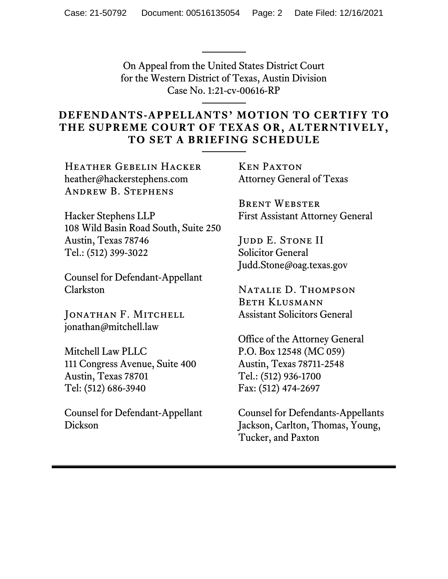On Appeal from the United States District Court for the Western District of Texas, Austin Division Case No. 1:21-cv-00616-RP

## **DEFENDANTS-APPELLANTS' MOTION TO CERTIFY TO THE SUPREME COURT OF TEXAS OR, ALTERNTIVELY, TO SET A BRIEFING SCHEDULE**

Heather Gebelin Hacker heather@hackerstephens.com Andrew B. Stephens

Hacker Stephens LLP 108 Wild Basin Road South, Suite 250 Austin, Texas 78746 Tel.: (512) 399-3022

Counsel for Defendant-Appellant Clarkston

JONATHAN F. MITCHELL jonathan@mitchell.law

Mitchell Law PLLC 111 Congress Avenue, Suite 400 Austin, Texas 78701 Tel: (512) 686-3940

Counsel for Defendant-Appellant Dickson

Ken Paxton Attorney General of Texas

Brent Webster First Assistant Attorney General

JUDD E. STONE II Solicitor General Judd.Stone@oag.texas.gov

Natalie D. Thompson Beth Klusmann Assistant Solicitors General

Office of the Attorney General P.O. Box 12548 (MC 059) Austin, Texas 78711-2548 Tel.: (512) 936-1700 Fax: (512) 474-2697

Counsel for Defendants-Appellants Jackson, Carlton, Thomas, Young, Tucker, and Paxton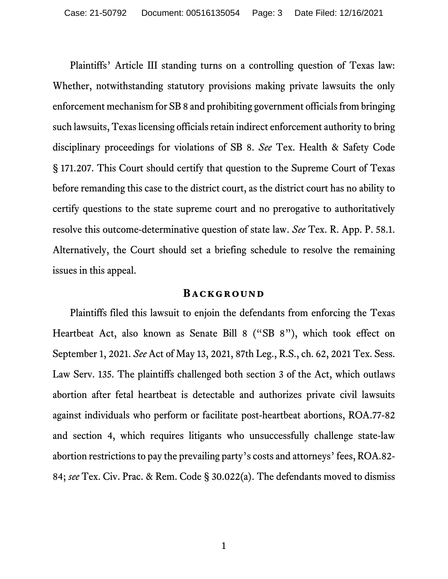Plaintiffs' Article III standing turns on a controlling question of Texas law: Whether, notwithstanding statutory provisions making private lawsuits the only enforcement mechanism for SB 8 and prohibiting government officials from bringing such lawsuits, Texas licensing officials retain indirect enforcement authority to bring disciplinary proceedings for violations of SB 8. *See* Tex. Health & Safety Code § 171.207. This Court should certify that question to the Supreme Court of Texas before remanding this case to the district court, as the district court has no ability to certify questions to the state supreme court and no prerogative to authoritatively resolve this outcome-determinative question of state law. *See* Tex. R. App. P. 58.1. Alternatively, the Court should set a briefing schedule to resolve the remaining issues in this appeal.

#### **BACKGROUND**

Plaintiffs filed this lawsuit to enjoin the defendants from enforcing the Texas Heartbeat Act, also known as Senate Bill 8 ("SB 8"), which took effect on September 1, 2021. *See* Act of May 13, 2021, 87th Leg., R.S., ch. 62, 2021 Tex. Sess. Law Serv. 135. The plaintiffs challenged both section 3 of the Act, which outlaws abortion after fetal heartbeat is detectable and authorizes private civil lawsuits against individuals who perform or facilitate post-heartbeat abortions, ROA.77-82 and section 4, which requires litigants who unsuccessfully challenge state-law abortion restrictions to pay the prevailing party's costs and attorneys' fees, ROA.82- 84; *see* Tex. Civ. Prac. & Rem. Code § 30.022(a). The defendants moved to dismiss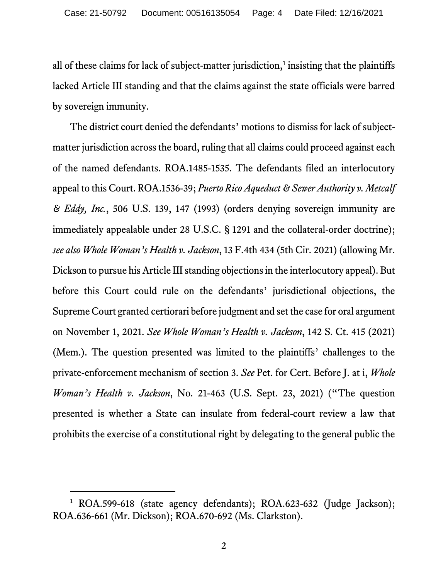all of these claims for lack of subject-matter jurisdiction, [1](#page-3-0) insisting that the plaintiffs lacked Article III standing and that the claims against the state officials were barred by sovereign immunity.

The district court denied the defendants' motions to dismiss for lack of subjectmatter jurisdiction across the board, ruling that all claims could proceed against each of the named defendants. ROA.1485-1535. The defendants filed an interlocutory appeal to this Court. ROA.1536-39; *Puerto Rico Aqueduct & Sewer Authority v. Metcalf & Eddy, Inc.*, 506 U.S. 139, 147 (1993) (orders denying sovereign immunity are immediately appealable under 28 U.S.C. § 1291 and the collateral-order doctrine); *see also Whole Woman's Health v. Jackson*, 13 F.4th 434 (5th Cir. 2021) (allowing Mr. Dickson to pursue his Article III standing objections in the interlocutory appeal). But before this Court could rule on the defendants' jurisdictional objections, the Supreme Court granted certiorari before judgment and set the case for oral argument on November 1, 2021. *See Whole Woman's Health v. Jackson*, 142 S. Ct. 415 (2021) (Mem.). The question presented was limited to the plaintiffs' challenges to the private-enforcement mechanism of section 3. *See* Pet. for Cert. Before J. at i, *Whole Woman's Health v. Jackson*, No. 21-463 (U.S. Sept. 23, 2021) ("The question presented is whether a State can insulate from federal-court review a law that prohibits the exercise of a constitutional right by delegating to the general public the

<span id="page-3-0"></span><sup>&</sup>lt;sup>1</sup> ROA.599-618 (state agency defendants); ROA.623-632 (Judge Jackson); ROA.636-661 (Mr. Dickson); ROA.670-692 (Ms. Clarkston).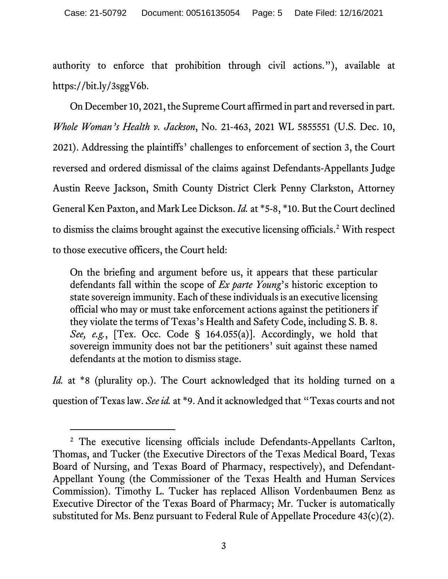authority to enforce that prohibition through civil actions."), available at https://bit.ly/3sggV6b.

On December 10, 2021, the Supreme Court affirmed in part and reversed in part. *Whole Woman's Health v. Jackson*, No. 21-463, 2021 WL 5855551 (U.S. Dec. 10, 2021). Addressing the plaintiffs' challenges to enforcement of section 3, the Court reversed and ordered dismissal of the claims against Defendants-Appellants Judge Austin Reeve Jackson, Smith County District Clerk Penny Clarkston, Attorney General Ken Paxton, and Mark Lee Dickson. *Id.* at \*5-8, \*10. But the Court declined to dismiss the claims brought against the executive licensing officials. [2](#page-4-0) With respect to those executive officers, the Court held:

On the briefing and argument before us, it appears that these particular defendants fall within the scope of *Ex parte Young*'s historic exception to state sovereign immunity. Each of these individuals is an executive licensing official who may or must take enforcement actions against the petitioners if they violate the terms of Texas's Health and Safety Code, including S. B. 8. *See, e.g.*, [Tex. Occ. Code § 164.055(a)]. Accordingly, we hold that sovereign immunity does not bar the petitioners' suit against these named defendants at the motion to dismiss stage.

*Id.* at \*8 (plurality op.). The Court acknowledged that its holding turned on a question of Texas law. *See id.* at \*9. And it acknowledged that "Texas courts and not

<span id="page-4-0"></span><sup>&</sup>lt;sup>2</sup> The executive licensing officials include Defendants-Appellants Carlton, Thomas, and Tucker (the Executive Directors of the Texas Medical Board, Texas Board of Nursing, and Texas Board of Pharmacy, respectively), and Defendant-Appellant Young (the Commissioner of the Texas Health and Human Services Commission). Timothy L. Tucker has replaced Allison Vordenbaumen Benz as Executive Director of the Texas Board of Pharmacy; Mr. Tucker is automatically substituted for Ms. Benz pursuant to Federal Rule of Appellate Procedure 43(c)(2).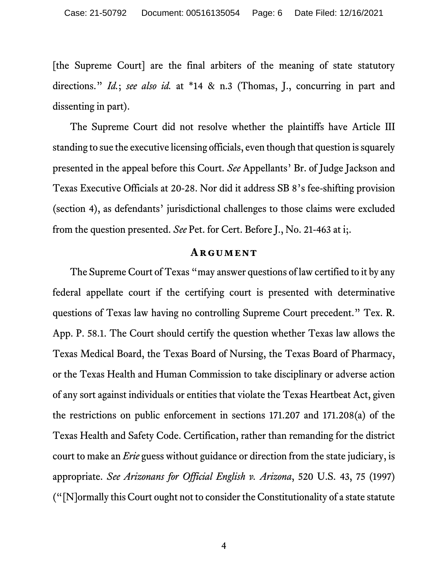[the Supreme Court] are the final arbiters of the meaning of state statutory directions." *Id.*; *see also id.* at \*14 & n.3 (Thomas, J., concurring in part and dissenting in part).

The Supreme Court did not resolve whether the plaintiffs have Article III standing to sue the executive licensing officials, even though that question is squarely presented in the appeal before this Court. *See* Appellants' Br. of Judge Jackson and Texas Executive Officials at 20-28. Nor did it address SB 8's fee-shifting provision (section 4), as defendants' jurisdictional challenges to those claims were excluded from the question presented. *See* Pet. for Cert. Before J., No. 21-463 at i;.

#### **Argument**

The Supreme Court of Texas "may answer questions of law certified to it by any federal appellate court if the certifying court is presented with determinative questions of Texas law having no controlling Supreme Court precedent." Tex. R. App. P. 58.1. The Court should certify the question whether Texas law allows the Texas Medical Board, the Texas Board of Nursing, the Texas Board of Pharmacy, or the Texas Health and Human Commission to take disciplinary or adverse action of any sort against individuals or entities that violate the Texas Heartbeat Act, given the restrictions on public enforcement in sections 171.207 and 171.208(a) of the Texas Health and Safety Code. Certification, rather than remanding for the district court to make an *Erie* guess without guidance or direction from the state judiciary, is appropriate. *See Arizonans for Official English v. Arizona*, 520 U.S. 43, 75 (1997) ("[N]ormally this Court ought not to consider the Constitutionality of a state statute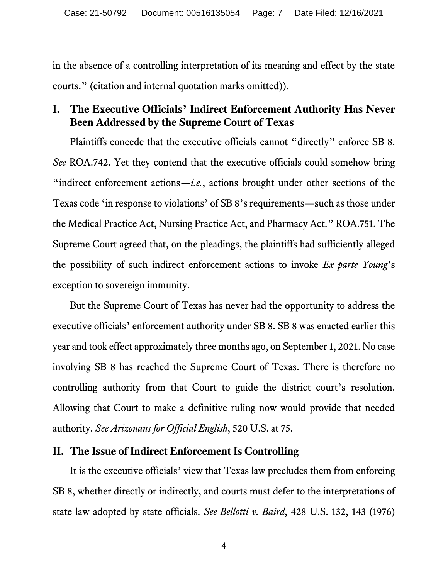in the absence of a controlling interpretation of its meaning and effect by the state courts." (citation and internal quotation marks omitted)).

# **I. The Executive Officials' Indirect Enforcement Authority Has Never Been Addressed by the Supreme Court of Texas**

Plaintiffs concede that the executive officials cannot "directly" enforce SB 8. *See* ROA.742. Yet they contend that the executive officials could somehow bring "indirect enforcement actions— $i.e.,$  actions brought under other sections of the Texas code 'in response to violations' of SB 8's requirements—such as those under the Medical Practice Act, Nursing Practice Act, and Pharmacy Act." ROA.751. The Supreme Court agreed that, on the pleadings, the plaintiffs had sufficiently alleged the possibility of such indirect enforcement actions to invoke *Ex parte Young*'s exception to sovereign immunity.

But the Supreme Court of Texas has never had the opportunity to address the executive officials' enforcement authority under SB 8. SB 8 was enacted earlier this year and took effect approximately three months ago, on September 1, 2021. No case involving SB 8 has reached the Supreme Court of Texas. There is therefore no controlling authority from that Court to guide the district court's resolution. Allowing that Court to make a definitive ruling now would provide that needed authority. *See Arizonans for Official English*, 520 U.S. at 75.

## **II. The Issue of Indirect Enforcement Is Controlling**

It is the executive officials' view that Texas law precludes them from enforcing SB 8, whether directly or indirectly, and courts must defer to the interpretations of state law adopted by state officials. *See Bellotti v. Baird*, 428 U.S. 132, 143 (1976)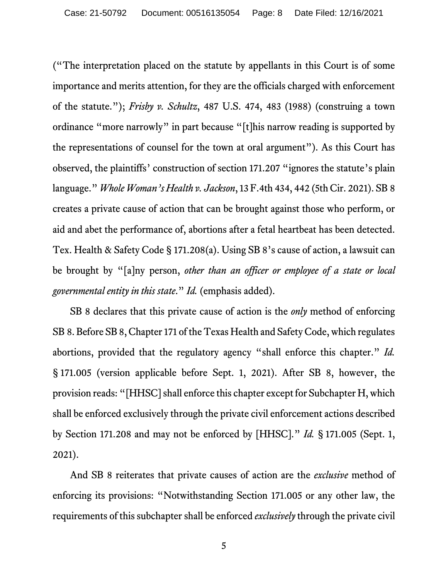("The interpretation placed on the statute by appellants in this Court is of some importance and merits attention, for they are the officials charged with enforcement of the statute."); *Frisby v. Schultz*, 487 U.S. 474, 483 (1988) (construing a town ordinance "more narrowly" in part because "[t]his narrow reading is supported by the representations of counsel for the town at oral argument"). As this Court has observed, the plaintiffs' construction of section 171.207 "ignores the statute's plain language." *Whole Woman's Health v. Jackson*, 13 F.4th 434, 442 (5th Cir. 2021). SB 8 creates a private cause of action that can be brought against those who perform, or aid and abet the performance of, abortions after a fetal heartbeat has been detected. Tex. Health & Safety Code § 171.208(a). Using SB 8's cause of action, a lawsuit can be brought by "[a]ny person, *other than an officer or employee of a state or local governmental entity in this state*." *Id.* (emphasis added).

SB 8 declares that this private cause of action is the *only* method of enforcing SB 8. Before SB 8, Chapter 171 of the Texas Health and Safety Code, which regulates abortions, provided that the regulatory agency "shall enforce this chapter." *Id.* § 171.005 (version applicable before Sept. 1, 2021). After SB 8, however, the provision reads: "[HHSC] shall enforce this chapter except for Subchapter H, which shall be enforced exclusively through the private civil enforcement actions described by Section 171.208 and may not be enforced by [HHSC]." *Id.* § 171.005 (Sept. 1, 2021).

And SB 8 reiterates that private causes of action are the *exclusive* method of enforcing its provisions: "Notwithstanding Section 171.005 or any other law, the requirements of this subchapter shall be enforced *exclusively* through the private civil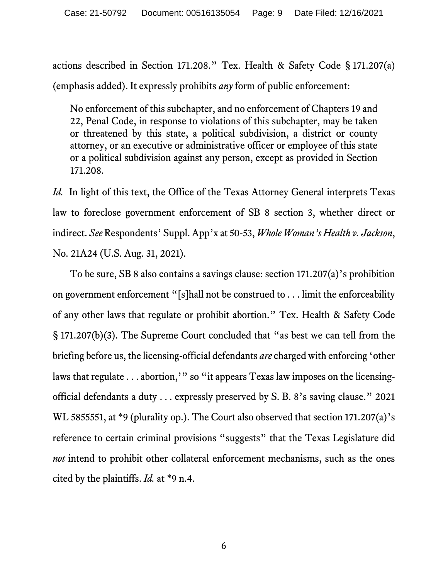actions described in Section 171.208." Tex. Health & Safety Code § 171.207(a) (emphasis added). It expressly prohibits *any* form of public enforcement:

No enforcement of this subchapter, and no enforcement of Chapters 19 and 22, Penal Code, in response to violations of this subchapter, may be taken or threatened by this state, a political subdivision, a district or county attorney, or an executive or administrative officer or employee of this state or a political subdivision against any person, except as provided in Section 171.208.

*Id.* In light of this text, the Office of the Texas Attorney General interprets Texas law to foreclose government enforcement of SB 8 section 3, whether direct or indirect. *See* Respondents' Suppl. App'x at 50-53, *Whole Woman's Health v. Jackson*, No. 21A24 (U.S. Aug. 31, 2021).

To be sure, SB 8 also contains a savings clause: section 171.207(a)'s prohibition on government enforcement "[s]hall not be construed to . . . limit the enforceability of any other laws that regulate or prohibit abortion." Tex. Health & Safety Code § 171.207(b)(3). The Supreme Court concluded that "as best we can tell from the briefing before us, the licensing-official defendants *are* charged with enforcing 'other laws that regulate . . . abortion,'" so "it appears Texas law imposes on the licensingofficial defendants a duty . . . expressly preserved by S. B. 8's saving clause." 2021 WL 5855551, at \*9 (plurality op.). The Court also observed that section 171.207(a)'s reference to certain criminal provisions "suggests" that the Texas Legislature did *not* intend to prohibit other collateral enforcement mechanisms, such as the ones cited by the plaintiffs. *Id.* at \*9 n.4.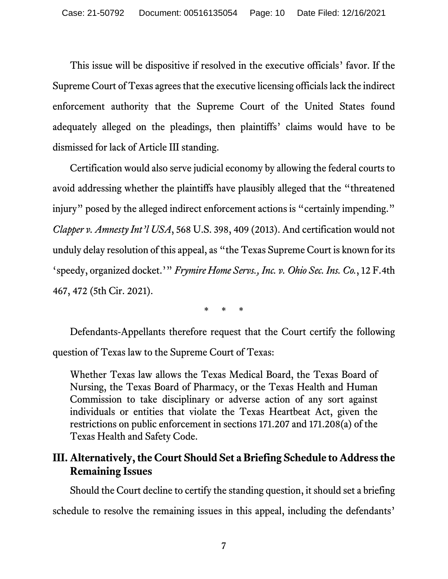This issue will be dispositive if resolved in the executive officials' favor. If the Supreme Court of Texas agrees that the executive licensing officials lack the indirect enforcement authority that the Supreme Court of the United States found adequately alleged on the pleadings, then plaintiffs' claims would have to be dismissed for lack of Article III standing.

Certification would also serve judicial economy by allowing the federal courts to avoid addressing whether the plaintiffs have plausibly alleged that the "threatened injury" posed by the alleged indirect enforcement actions is "certainly impending." *Clapper v. Amnesty Int'l USA*, 568 U.S. 398, 409 (2013). And certification would not unduly delay resolution of this appeal, as "the Texas Supreme Court is known for its 'speedy, organized docket.'" *Frymire Home Servs., Inc. v. Ohio Sec. Ins. Co.*, 12 F.4th 467, 472 (5th Cir. 2021).

\* \* \*

Defendants-Appellants therefore request that the Court certify the following question of Texas law to the Supreme Court of Texas:

Whether Texas law allows the Texas Medical Board, the Texas Board of Nursing, the Texas Board of Pharmacy, or the Texas Health and Human Commission to take disciplinary or adverse action of any sort against individuals or entities that violate the Texas Heartbeat Act, given the restrictions on public enforcement in sections 171.207 and 171.208(a) of the Texas Health and Safety Code.

# **III. Alternatively, the Court Should Set a Briefing Schedule to Address the Remaining Issues**

Should the Court decline to certify the standing question, it should set a briefing schedule to resolve the remaining issues in this appeal, including the defendants'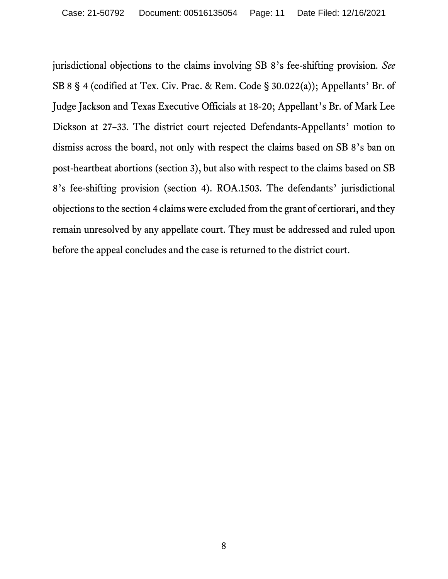jurisdictional objections to the claims involving SB 8's fee-shifting provision. *See*  SB 8 § 4 (codified at Tex. Civ. Prac. & Rem. Code § 30.022(a)); Appellants' Br. of Judge Jackson and Texas Executive Officials at 18-20; Appellant's Br. of Mark Lee Dickson at 27–33. The district court rejected Defendants-Appellants' motion to dismiss across the board, not only with respect the claims based on SB 8's ban on post-heartbeat abortions (section 3), but also with respect to the claims based on SB 8's fee-shifting provision (section 4). ROA.1503. The defendants' jurisdictional objections to the section 4 claimswere excluded from the grant of certiorari, and they remain unresolved by any appellate court. They must be addressed and ruled upon before the appeal concludes and the case is returned to the district court.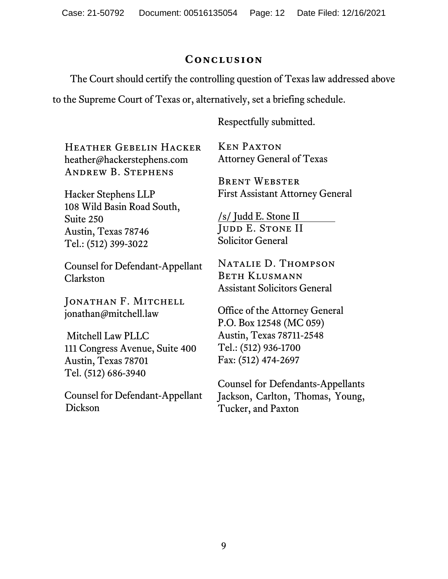## **Conclusion**

The Court should certify the controlling question of Texas law addressed above

to the Supreme Court of Texas or, alternatively, set a briefing schedule.

Respectfully submitted.

Heather Gebelin Hacker heather@hackerstephens.com Andrew B. Stephens

Hacker Stephens LLP 108 Wild Basin Road South, Suite 250 Austin, Texas 78746 Tel.: (512) 399-3022

Counsel for Defendant-Appellant Clarkston

Jonathan F. Mitchell jonathan@mitchell.law

Mitchell Law PLLC 111 Congress Avenue, Suite 400 Austin, Texas 78701 Tel. (512) 686-3940

Counsel for Defendant-Appellant Dickson

Ken Paxton Attorney General of Texas

Brent Webster First Assistant Attorney General

/s/ Judd E. Stone II JUDD E. STONE II Solicitor General

Natalie D. Thompson Beth Klusmann Assistant Solicitors General

Office of the Attorney General P.O. Box 12548 (MC 059) Austin, Texas 78711-2548 Tel.: (512) 936-1700 Fax: (512) 474-2697

Counsel for Defendants-Appellants Jackson, Carlton, Thomas, Young, Tucker, and Paxton